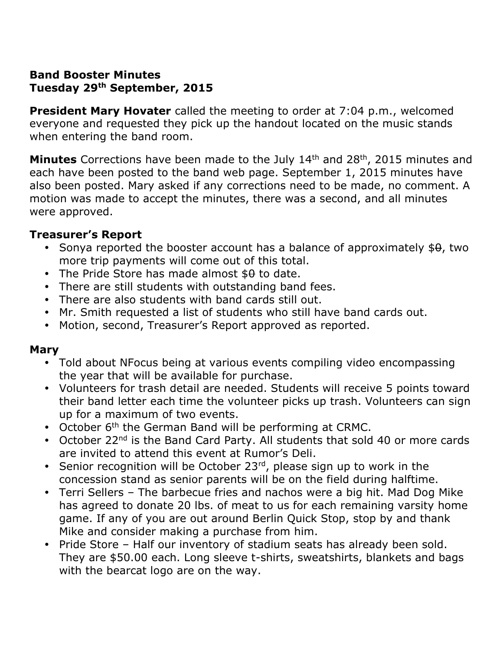## **Band Booster Minutes Tuesday 29th September, 2015**

**President Mary Hovater** called the meeting to order at 7:04 p.m., welcomed everyone and requested they pick up the handout located on the music stands when entering the band room.

**Minutes** Corrections have been made to the July 14<sup>th</sup> and 28<sup>th</sup>, 2015 minutes and each have been posted to the band web page. September 1, 2015 minutes have also been posted. Mary asked if any corrections need to be made, no comment. A motion was made to accept the minutes, there was a second, and all minutes were approved.

### **Treasurer's Report**

- Sonya reported the booster account has a balance of approximately  $$0, two$ more trip payments will come out of this total.
- The Pride Store has made almost  $$0$  to date.
- There are still students with outstanding band fees.
- There are also students with band cards still out.
- Mr. Smith requested a list of students who still have band cards out.
- Motion, second, Treasurer's Report approved as reported.

### **Mary**

- Told about NFocus being at various events compiling video encompassing the year that will be available for purchase.
- Volunteers for trash detail are needed. Students will receive 5 points toward their band letter each time the volunteer picks up trash. Volunteers can sign up for a maximum of two events.
- October 6<sup>th</sup> the German Band will be performing at CRMC.
- October 22<sup>nd</sup> is the Band Card Party. All students that sold 40 or more cards are invited to attend this event at Rumor's Deli.
- Senior recognition will be October  $23^{rd}$ , please sign up to work in the concession stand as senior parents will be on the field during halftime.
- Terri Sellers The barbecue fries and nachos were a big hit. Mad Dog Mike has agreed to donate 20 lbs. of meat to us for each remaining varsity home game. If any of you are out around Berlin Quick Stop, stop by and thank Mike and consider making a purchase from him.
- Pride Store Half our inventory of stadium seats has already been sold. They are \$50.00 each. Long sleeve t-shirts, sweatshirts, blankets and bags with the bearcat logo are on the way.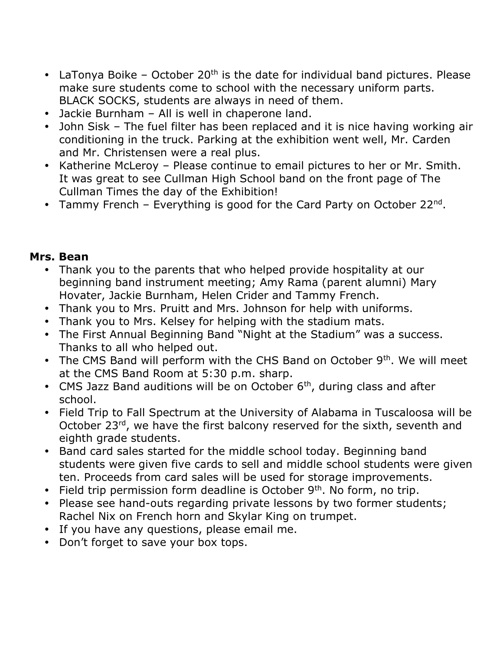- LaTonya Boike October 20<sup>th</sup> is the date for individual band pictures. Please make sure students come to school with the necessary uniform parts. BLACK SOCKS, students are always in need of them.
- Jackie Burnham All is well in chaperone land.
- John Sisk The fuel filter has been replaced and it is nice having working air conditioning in the truck. Parking at the exhibition went well, Mr. Carden and Mr. Christensen were a real plus.
- Katherine McLeroy Please continue to email pictures to her or Mr. Smith. It was great to see Cullman High School band on the front page of The Cullman Times the day of the Exhibition!
- Tammy French Everything is good for the Card Party on October 22<sup>nd</sup>.

# **Mrs. Bean**

- Thank you to the parents that who helped provide hospitality at our beginning band instrument meeting; Amy Rama (parent alumni) Mary Hovater, Jackie Burnham, Helen Crider and Tammy French.
- Thank you to Mrs. Pruitt and Mrs. Johnson for help with uniforms.
- Thank you to Mrs. Kelsey for helping with the stadium mats.
- The First Annual Beginning Band "Night at the Stadium" was a success. Thanks to all who helped out.
- The CMS Band will perform with the CHS Band on October 9<sup>th</sup>. We will meet at the CMS Band Room at 5:30 p.m. sharp.
- CMS Jazz Band auditions will be on October  $6<sup>th</sup>$ , during class and after school.
- Field Trip to Fall Spectrum at the University of Alabama in Tuscaloosa will be October 23<sup>rd</sup>, we have the first balcony reserved for the sixth, seventh and eighth grade students.
- Band card sales started for the middle school today. Beginning band students were given five cards to sell and middle school students were given ten. Proceeds from card sales will be used for storage improvements.
- Field trip permission form deadline is October  $9<sup>th</sup>$ . No form, no trip.
- Please see hand-outs regarding private lessons by two former students; Rachel Nix on French horn and Skylar King on trumpet.
- If you have any questions, please email me.
- Don't forget to save your box tops.